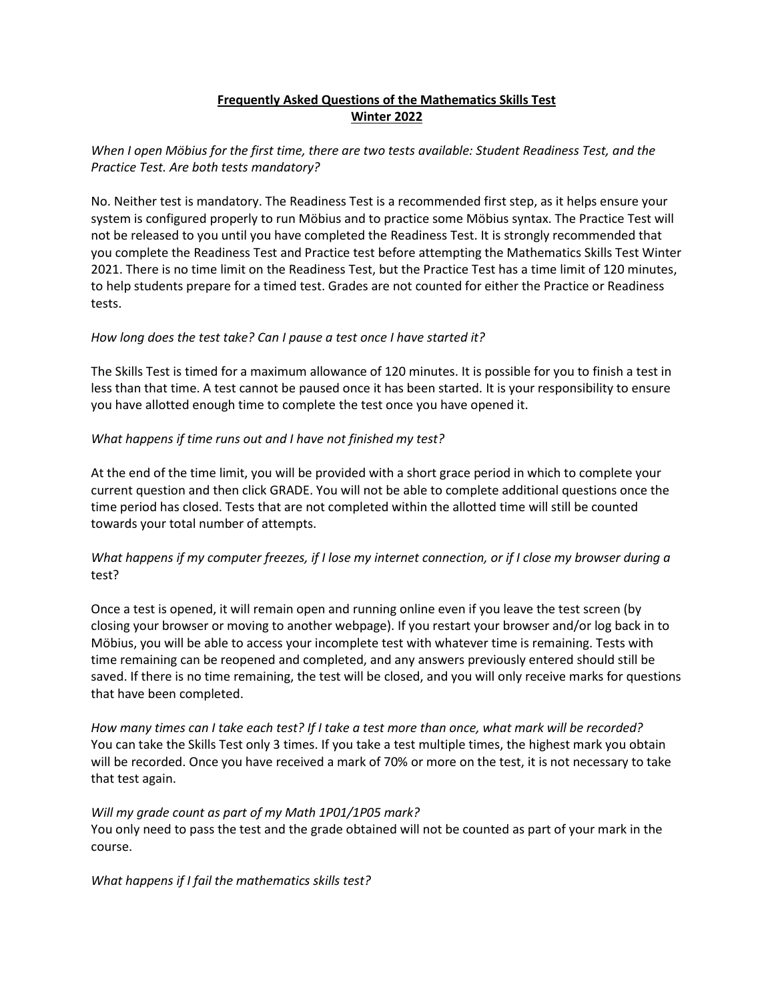# **Frequently Asked Questions of the Mathematics Skills Test Winter 2022**

## *When I open Möbius for the first time, there are two tests available: Student Readiness Test, and the Practice Test. Are both tests mandatory?*

No. Neither test is mandatory. The Readiness Test is a recommended first step, as it helps ensure your system is configured properly to run Möbius and to practice some Möbius syntax. The Practice Test will not be released to you until you have completed the Readiness Test. It is strongly recommended that you complete the Readiness Test and Practice test before attempting the Mathematics Skills Test Winter 2021. There is no time limit on the Readiness Test, but the Practice Test has a time limit of 120 minutes, to help students prepare for a timed test. Grades are not counted for either the Practice or Readiness tests.

## *How long does the test take? Can I pause a test once I have started it?*

The Skills Test is timed for a maximum allowance of 120 minutes. It is possible for you to finish a test in less than that time. A test cannot be paused once it has been started. It is your responsibility to ensure you have allotted enough time to complete the test once you have opened it.

## *What happens if time runs out and I have not finished my test?*

At the end of the time limit, you will be provided with a short grace period in which to complete your current question and then click GRADE. You will not be able to complete additional questions once the time period has closed. Tests that are not completed within the allotted time will still be counted towards your total number of attempts.

# *What happens if my computer freezes, if I lose my internet connection, or if I close my browser during a* test?

Once a test is opened, it will remain open and running online even if you leave the test screen (by closing your browser or moving to another webpage). If you restart your browser and/or log back in to Möbius, you will be able to access your incomplete test with whatever time is remaining. Tests with time remaining can be reopened and completed, and any answers previously entered should still be saved. If there is no time remaining, the test will be closed, and you will only receive marks for questions that have been completed.

*How many times can I take each test? If I take a test more than once, what mark will be recorded?* You can take the Skills Test only 3 times. If you take a test multiple times, the highest mark you obtain will be recorded. Once you have received a mark of 70% or more on the test, it is not necessary to take that test again.

#### *Will my grade count as part of my Math 1P01/1P05 mark?*

You only need to pass the test and the grade obtained will not be counted as part of your mark in the course.

#### *What happens if I fail the mathematics skills test?*